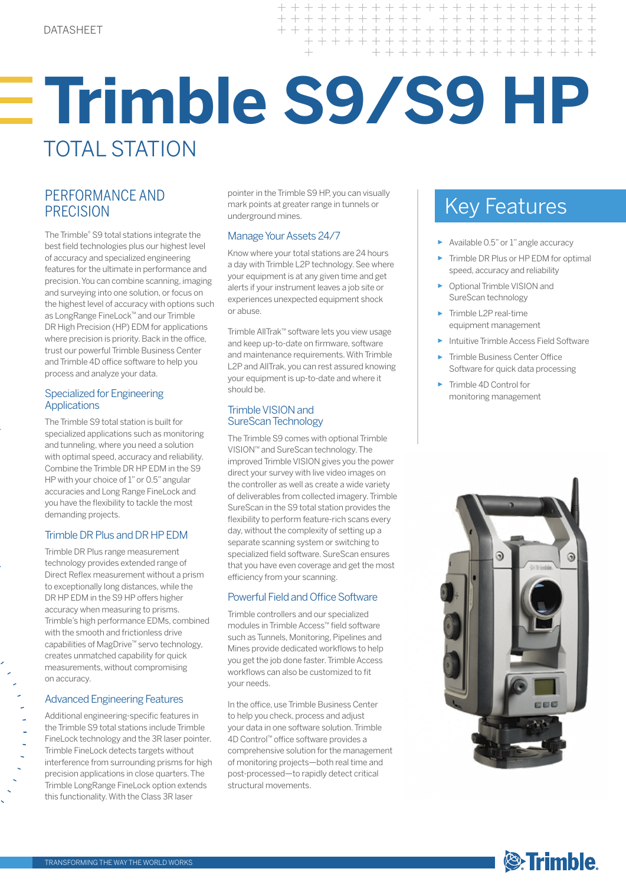# **Trimble S9/S9 HP**  TOTAL STATION

 $+ + + +$ 

## **PRECISION**

The Trimble® S9 total stations integrate the best field technologies plus our highest level of accuracy and specialized engineering features for the ultimate in performance and precision. You can combine scanning, imaging and surveying into one solution, or focus on the highest level of accuracy with options such as LongRange FineLock™ and our Trimble DR High Precision (HP) EDM for applications where precision is priority. Back in the office, trust our powerful Trimble Business Center and Trimble 4D office software to help you process and analyze your data.

#### Specialized for Engineering **Applications**

The Trimble S9 total station is built for specialized applications such as monitoring and tunneling, where you need a solution with optimal speed, accuracy and reliability. Combine the Trimble DR HP EDM in the S9 HP with your choice of 1" or 0.5" angular accuracies and Long Range FineLock and you have the flexibility to tackle the most demanding projects.

### Trimble DR Plus and DR HP EDM

Trimble DR Plus range measurement technology provides extended range of Direct Reflex measurement without a prism to exceptionally long distances, while the DR HP EDM in the S9 HP offers higher accuracy when measuring to prisms. Trimble's high performance EDMs, combined with the smooth and frictionless drive capabilities of MagDrive™ servo technology, creates unmatched capability for quick measurements, without compromising on accuracy.

### Advanced Engineering Features

Additional engineering-specific features in the Trimble S9 total stations include Trimble FineLock technology and the 3R laser pointer. Trimble FineLock detects targets without interference from surrounding prisms for high precision applications in close quarters. The Trimble LongRange FineLock option extends this functionality. With the Class 3R laser

Key Features PERFORMANCE AND pointer in the Trimble S9 HP, you can visually mark points at greater range in tunnels or underground mines.

### Manage Your Assets 24/7

Know where your total stations are 24 hours a day with Trimble L2P technology. See where your equipment is at any given time and get alerts if your instrument leaves a job site or experiences unexpected equipment shock or abuse.

Trimble AllTrak™ software lets you view usage and keep up-to-date on firmware, software and maintenance requirements. With Trimble L2P and AllTrak, you can rest assured knowing your equipment is up-to-date and where it should be.

### Trimble VISION and SureScan Technology

The Trimble S9 comes with optional Trimble VISION™ and SureScan technology. The improved Trimble VISION gives you the power direct your survey with live video images on the controller as well as create a wide variety of deliverables from collected imagery. Trimble SureScan in the S9 total station provides the flexibility to perform feature-rich scans every day, without the complexity of setting up a separate scanning system or switching to specialized field software. SureScan ensures that you have even coverage and get the most efficiency from your scanning.

### Powerful Field and Office Software

Trimble controllers and our specialized modules in Trimble Access™ field software such as Tunnels, Monitoring, Pipelines and Mines provide dedicated workflows to help you get the job done faster. Trimble Access workflows can also be customized to fit your needs.

In the office, use Trimble Business Center to help you check, process and adjust your data in one software solution. Trimble 4D Control™ office software provides a comprehensive solution for the management of monitoring projects—both real time and post-processed—to rapidly detect critical structural movements.

+ + + + + + + + + + + + + + + + + + + +

+ + + + + + + + + + + + + + + +

+ + + + + + + + + + + + +

- ► Available 0.5" or 1" angle accuracy
- Trimble DR Plus or HP EDM for optimal speed, accuracy and reliability
- ► Optional Trimble VISION and SureScan technology
- ► Trimble L2P real-time equipment management
- ► Intuitive Trimble Access Field Software
- ► Trimble Business Center Office Software for quick data processing
- ► Trimble 4D Control for monitoring management



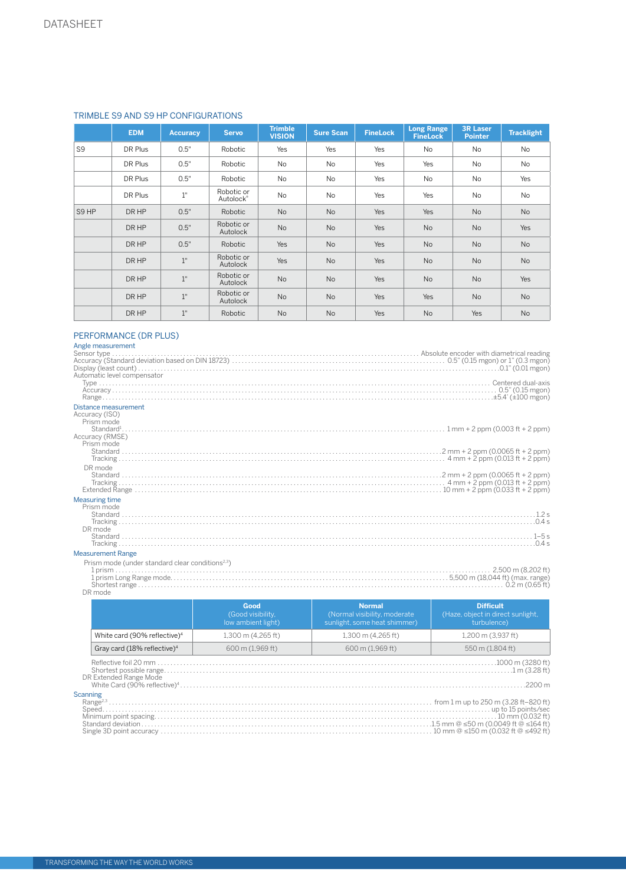|      | <b>EDM</b> | <b>Accuracy</b> | <b>Servo</b>            | <b>Trimble</b><br><b>VISION</b> | <b>Sure Scan</b> | <b>FineLock</b> | <b>Long Range</b><br><b>FineLock</b> | <b>3R Laser</b><br><b>Pointer</b> | <b>Tracklight</b> |
|------|------------|-----------------|-------------------------|---------------------------------|------------------|-----------------|--------------------------------------|-----------------------------------|-------------------|
| S9   | DR Plus    | 0.5"            | Robotic                 | Yes                             | Yes              | Yes             | <b>No</b>                            | <b>No</b>                         | <b>No</b>         |
|      | DR Plus    | 0.5"            | Robotic                 | No                              | <b>No</b>        | Yes             | Yes                                  | <b>No</b>                         | <b>No</b>         |
|      | DR Plus    | 0.5"            | Robotic                 | No                              | No               | Yes             | No                                   | No                                | Yes               |
|      | DR Plus    | $1"$            | Robotic or<br>Autolock® | No                              | <b>No</b>        | Yes             | Yes                                  | <b>No</b>                         | <b>No</b>         |
| S9HP | DR HP      | 0.5"            | Robotic                 | No                              | No               | Yes             | Yes                                  | No                                | <b>No</b>         |
|      | DR HP      | 0.5"            | Robotic or<br>Autolock  | No                              | <b>No</b>        | Yes             | No                                   | No                                | Yes               |
|      | DR HP      | 0.5"            | Robotic                 | Yes                             | <b>No</b>        | Yes             | <b>No</b>                            | <b>No</b>                         | <b>No</b>         |
|      | DR HP      | 1"              | Robotic or<br>Autolock  | Yes                             | <b>No</b>        | Yes             | No                                   | <b>No</b>                         | <b>No</b>         |
|      | DR HP      | $1^{\circ}$     | Robotic or<br>Autolock  | <b>No</b>                       | <b>No</b>        | Yes             | No                                   | <b>No</b>                         | Yes               |
|      | DR HP      | $1"$            | Robotic or<br>Autolock  | <b>No</b>                       | <b>No</b>        | Yes             | Yes                                  | <b>No</b>                         | <b>No</b>         |
|      | DR HP      | 1"              | Robotic                 | <b>No</b>                       | No               | Yes             | No                                   | Yes                               | <b>No</b>         |
|      |            |                 |                         |                                 |                  |                 |                                      |                                   |                   |

#### PERFORMANCE (DR PLUS)

| Angle measurement                                            |
|--------------------------------------------------------------|
|                                                              |
|                                                              |
|                                                              |
| Automatic level compensator                                  |
|                                                              |
|                                                              |
|                                                              |
| Distance measurement                                         |
| Accuracy (ISO)                                               |
| Prism mode                                                   |
|                                                              |
| Accuracy (RMSE)<br>Prism mode                                |
|                                                              |
|                                                              |
| DR mode                                                      |
|                                                              |
|                                                              |
|                                                              |
| <b>Measuring time</b>                                        |
| Prism mode                                                   |
|                                                              |
|                                                              |
| DR mode                                                      |
|                                                              |
|                                                              |
| <b>Measurement Range</b>                                     |
| Prism mode (under standard clear conditions <sup>2,3</sup> ) |
|                                                              |
|                                                              |
|                                                              |

DR mode

|                        |                                          | Good<br>(Good visibility,<br>low ambient light) | Normal<br>(Normal visibility, moderate)<br>sunlight, some heat shimmer) | <b>Difficult</b><br>(Haze, object in direct sunlight,<br>turbulence) |
|------------------------|------------------------------------------|-------------------------------------------------|-------------------------------------------------------------------------|----------------------------------------------------------------------|
|                        | White card (90% reflective) <sup>4</sup> | 1,300 m (4,265 ft)                              | 1,300 m (4,265 ft)                                                      | 1,200 m (3,937 ft)                                                   |
|                        | Gray card (18% reflective) <sup>4</sup>  | 600 m (1,969 ft)                                | 600 m (1,969 ft)                                                        | 550 m (1,804 ft)                                                     |
| DR Extended Range Mode |                                          |                                                 |                                                                         | $2200 \text{ m}$                                                     |
|                        | Scanning                                 |                                                 |                                                                         |                                                                      |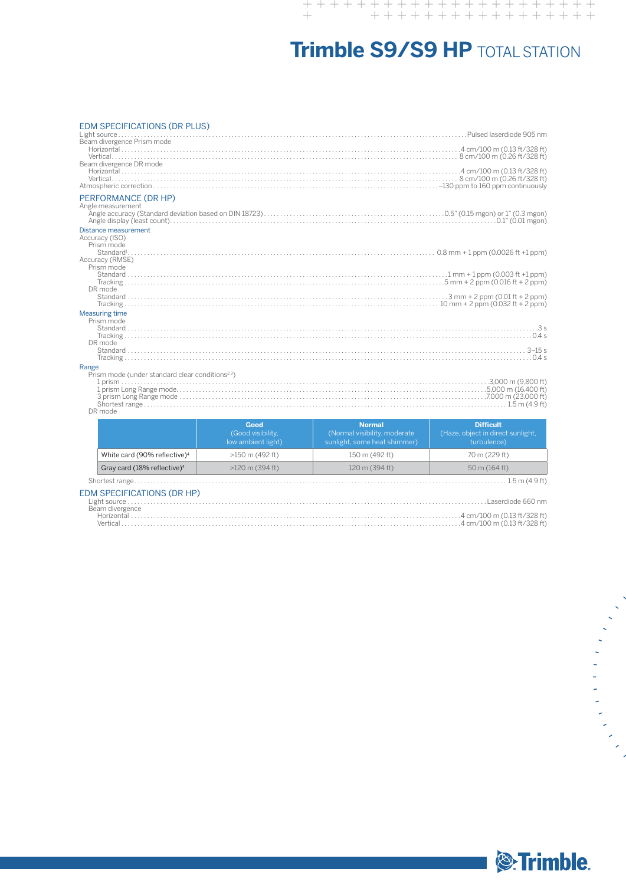## **Trimble S9/S9 HP** TOTAL STATION

#### EDM SPECIFICATIONS (DR PLUS)

| LDIVI OF LUITIUATIUNO (DR FLUO)                              |                                         |
|--------------------------------------------------------------|-----------------------------------------|
|                                                              |                                         |
| Beam divergence Prism mode                                   |                                         |
|                                                              |                                         |
|                                                              |                                         |
| Beam divergence DR mode                                      |                                         |
|                                                              |                                         |
|                                                              |                                         |
|                                                              |                                         |
| PERFORMANCE (DR HP)                                          |                                         |
| Angle measurement                                            |                                         |
|                                                              |                                         |
|                                                              |                                         |
|                                                              |                                         |
| Distance measurement                                         |                                         |
| Accuracy (ISO)                                               |                                         |
| Prism mode                                                   |                                         |
|                                                              |                                         |
| Accuracy (RMSE)                                              |                                         |
| Prism mode                                                   |                                         |
|                                                              |                                         |
|                                                              |                                         |
| DR mode                                                      |                                         |
|                                                              |                                         |
|                                                              |                                         |
|                                                              |                                         |
| <b>Measuring time</b>                                        |                                         |
| Prism mode                                                   |                                         |
|                                                              |                                         |
|                                                              |                                         |
| DR mode                                                      |                                         |
|                                                              |                                         |
|                                                              |                                         |
| Range                                                        |                                         |
| Prism mode (under standard clear conditions <sup>2,3</sup> ) |                                         |
|                                                              |                                         |
| 1 prism Long Range mode                                      | $5000 \text{ m}$ (16 $100 \text{ ft}$ ) |

1 prism Long Range mode. . 5,000 m (16,400 ft) 3 prism Long Range mode. . 7,000 m (23,000 ft) Shortest range. . . 1.5 m (4.9 ft) DR mode

|                                          | Good<br>(Good visibility,<br>low ambient light) | <b>Normal</b><br>(Normal visibility, moderate<br>sunlight, some heat shimmer) | <b>Difficult</b><br>(Haze, object in direct sunlight,<br>turbulence) |
|------------------------------------------|-------------------------------------------------|-------------------------------------------------------------------------------|----------------------------------------------------------------------|
| White card (90% reflective) <sup>4</sup> | $>150$ m (492 ft)                               | 150 m (492 ft)                                                                | 70 m (229 ft)                                                        |
| Gray card (18% reflective) <sup>4</sup>  | $>120$ m (394 ft)                               | $120 \text{ m}$ (394 ft)                                                      | $50 \text{ m}$ (164 ft)                                              |
| Shortest range                           |                                                 |                                                                               | $1.5$ m (4.9 ft)                                                     |

#### EDM SPECIFICATIONS (DR HP)

| Beam divergence |  |
|-----------------|--|
| Horizontal .    |  |
|                 |  |